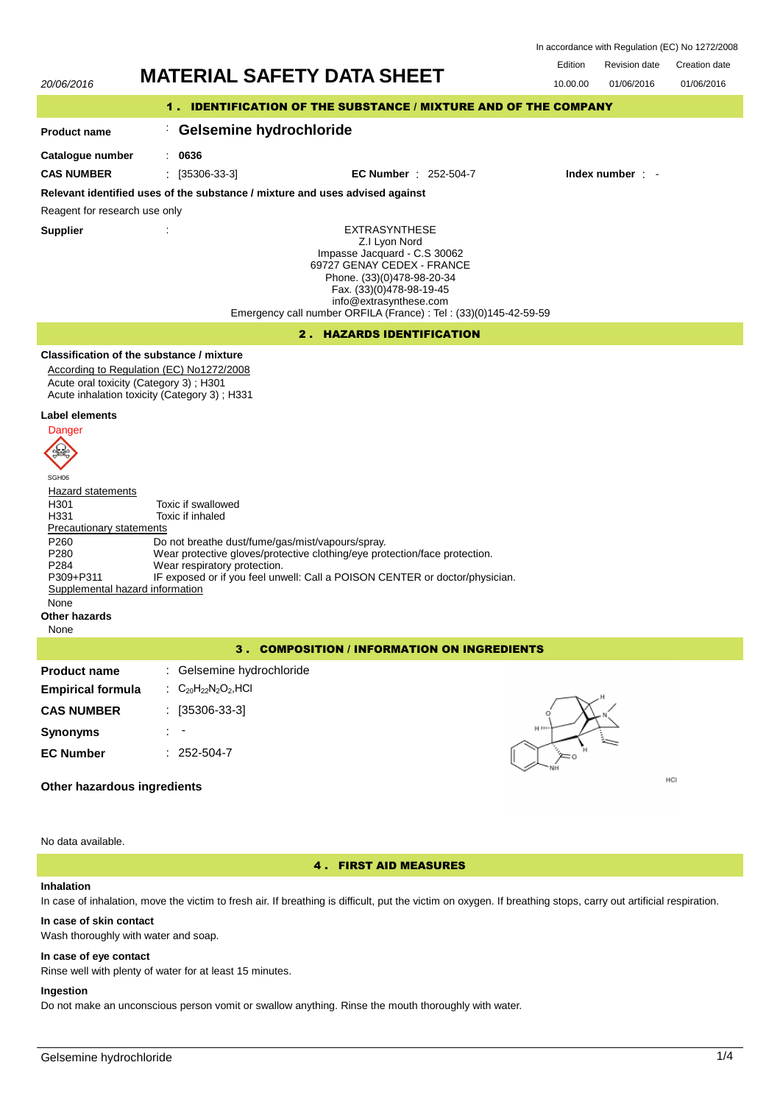In accordance with Regulation (EC) No 1272/2008



No data available.

### 4 . FIRST AID MEASURES

### **Inhalation**

In case of inhalation, move the victim to fresh air. If breathing is difficult, put the victim on oxygen. If breathing stops, carry out artificial respiration.

# **In case of skin contact**

Wash thoroughly with water and soap.

### **In case of eye contact**

Rinse well with plenty of water for at least 15 minutes.

#### **Ingestion**

Do not make an unconscious person vomit or swallow anything. Rinse the mouth thoroughly with water.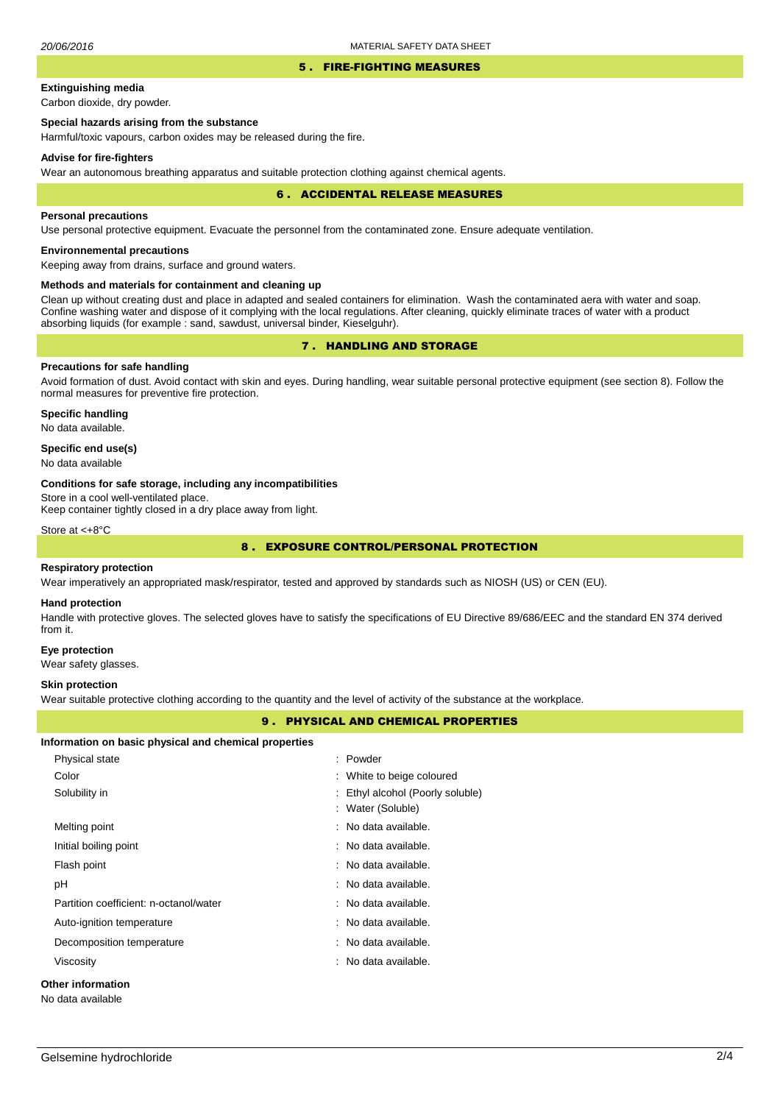### 5 . FIRE-FIGHTING MEASURES

# **Extinguishing media**

Carbon dioxide, dry powder.

# **Special hazards arising from the substance**

Harmful/toxic vapours, carbon oxides may be released during the fire.

### **Advise for fire-fighters**

Wear an autonomous breathing apparatus and suitable protection clothing against chemical agents.

### 6 . ACCIDENTAL RELEASE MEASURES

#### **Personal precautions**

Use personal protective equipment. Evacuate the personnel from the contaminated zone. Ensure adequate ventilation.

### **Environnemental precautions**

Keeping away from drains, surface and ground waters.

### **Methods and materials for containment and cleaning up**

Clean up without creating dust and place in adapted and sealed containers for elimination. Wash the contaminated aera with water and soap. Confine washing water and dispose of it complying with the local regulations. After cleaning, quickly eliminate traces of water with a product absorbing liquids (for example : sand, sawdust, universal binder, Kieselguhr).

# 7 . HANDLING AND STORAGE

### **Precautions for safe handling**

Avoid formation of dust. Avoid contact with skin and eyes. During handling, wear suitable personal protective equipment (see section 8). Follow the normal measures for preventive fire protection.

**Specific handling** No data available.

### **Specific end use(s)**

No data available

### **Conditions for safe storage, including any incompatibilities**

Store in a cool well-ventilated place.

Keep container tightly closed in a dry place away from light.

Store at <+8°C

# 8 . EXPOSURE CONTROL/PERSONAL PROTECTION

### **Respiratory protection**

Wear imperatively an appropriated mask/respirator, tested and approved by standards such as NIOSH (US) or CEN (EU).

#### **Hand protection**

Handle with protective gloves. The selected gloves have to satisfy the specifications of EU Directive 89/686/EEC and the standard EN 374 derived from it.

#### **Eye protection**

Wear safety glasses.

### **Skin protection**

Wear suitable protective clothing according to the quantity and the level of activity of the substance at the workplace.

### 9 . PHYSICAL AND CHEMICAL PROPERTIES

| Information on basic physical and chemical properties |  |  |  |
|-------------------------------------------------------|--|--|--|
|-------------------------------------------------------|--|--|--|

| Physical state                         | : Powder                         |
|----------------------------------------|----------------------------------|
| Color                                  | : White to beige coloured        |
| Solubility in                          | : Ethyl alcohol (Poorly soluble) |
|                                        | : Water (Soluble)                |
| Melting point                          | : No data available.             |
| Initial boiling point                  | : No data available.             |
| Flash point                            | : No data available.             |
| рH                                     | : No data available.             |
| Partition coefficient: n-octanol/water | : No data available.             |
| Auto-ignition temperature              | : No data available.             |
| Decomposition temperature              | : No data available.             |
| Viscosity                              | : No data available.             |
| <b>Other information</b>               |                                  |
| No data available                      |                                  |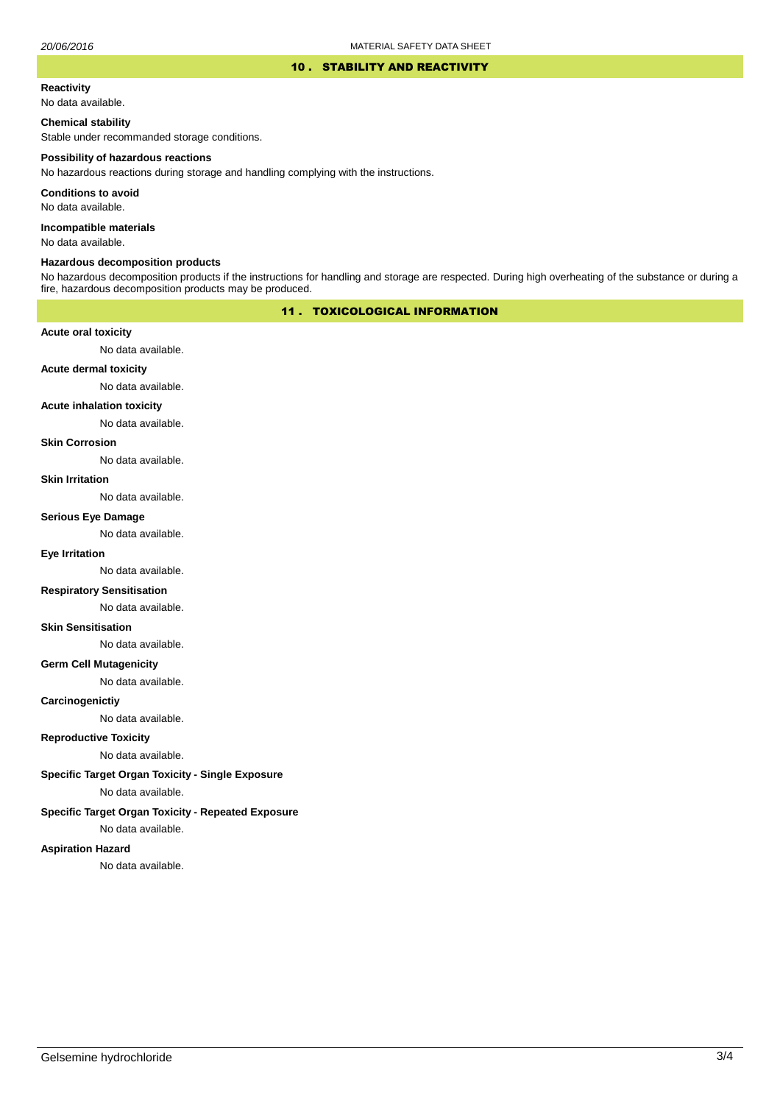### 10 . STABILITY AND REACTIVITY

### **Reactivity**

No data available.

### **Chemical stability**

Stable under recommanded storage conditions.

### **Possibility of hazardous reactions**

No hazardous reactions during storage and handling complying with the instructions.

**Conditions to avoid**

No data available.

**Incompatible materials**

No data available.

### **Hazardous decomposition products**

No hazardous decomposition products if the instructions for handling and storage are respected. During high overheating of the substance or during a fire, hazardous decomposition products may be produced.

# 11 . TOXICOLOGICAL INFORMATION

### **Acute oral toxicity**

No data available.

# **Acute dermal toxicity**

No data available.

### **Acute inhalation toxicity**

No data available.

### **Skin Corrosion**

No data available.

#### **Skin Irritation**

No data available.

### **Serious Eye Damage**

No data available.

# **Eye Irritation**

No data available.

### **Respiratory Sensitisation**

No data available.

### **Skin Sensitisation**

No data available.

### **Germ Cell Mutagenicity**

No data available.

### **Carcinogenictiy**

No data available.

# **Reproductive Toxicity**

No data available.

# **Specific Target Organ Toxicity - Single Exposure**

No data available.

### **Specific Target Organ Toxicity - Repeated Exposure**

No data available.

### **Aspiration Hazard**

No data available.